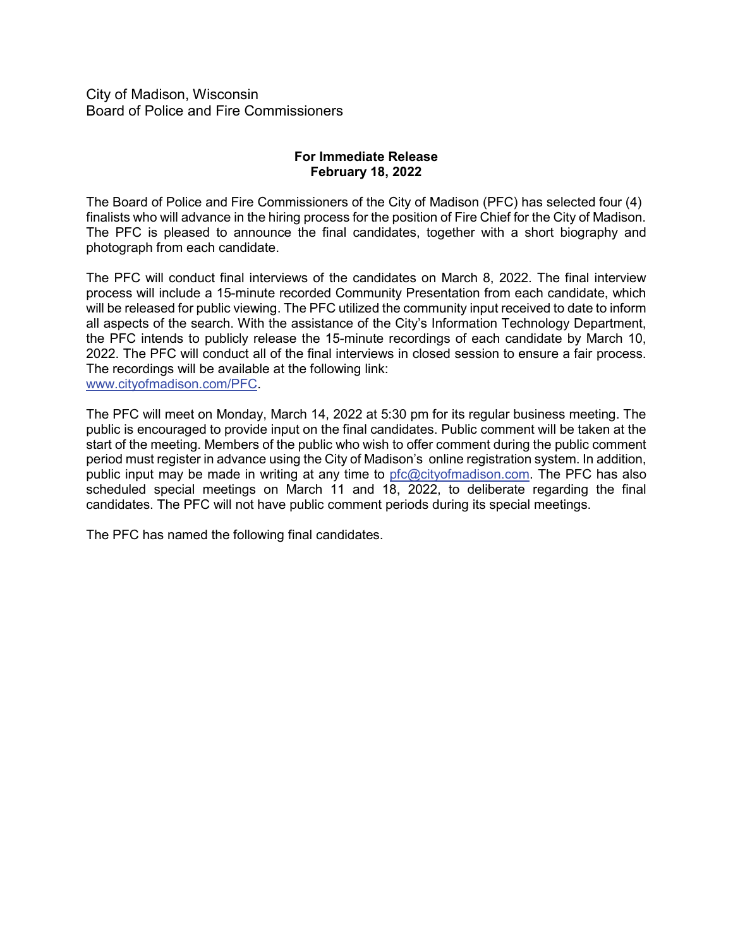City of Madison, Wisconsin Board of Police and Fire Commissioners

#### **For Immediate Release February 18, 2022**

The Board of Police and Fire Commissioners of the City of Madison (PFC) has selected four (4) finalists who will advance in the hiring process for the position of Fire Chief for the City of Madison. The PFC is pleased to announce the final candidates, together with a short biography and photograph from each candidate.

The PFC will conduct final interviews of the candidates on March 8, 2022. The final interview process will include a 15-minute recorded Community Presentation from each candidate, which will be released for public viewing. The PFC utilized the community input received to date to inform all aspects of the search. With the assistance of the City's Information Technology Department, the PFC intends to publicly release the 15-minute recordings of each candidate by March 10, 2022. The PFC will conduct all of the final interviews in closed session to ensure a fair process. The recordings will be available at the following link: [www.cityofmadison.com/PFC.](http://www.cityofmadison.com/PFC)

The PFC will meet on Monday, March 14, 2022 at 5:30 pm for its regular business meeting. The public is encouraged to provide input on the final candidates. Public comment will be taken at the start of the meeting. Members of the public who wish to offer comment during the public comment period must register in advance using the City of Madison's online registration system. In addition, public input may be made in writing at any time to [pfc@cityofmadison.com.](mailto:pfc@cityofmadison.com) The PFC has also scheduled special meetings on March 11 and 18, 2022, to deliberate regarding the final candidates. The PFC will not have public comment periods during its special meetings.

The PFC has named the following final candidates.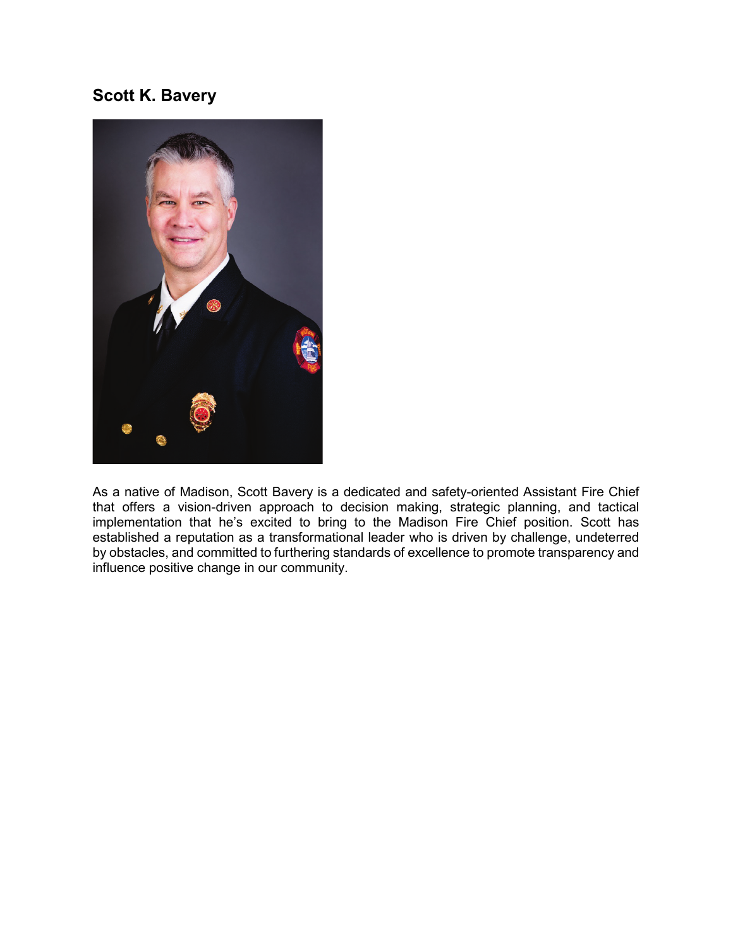# **Scott K. Bavery**



As a native of Madison, Scott Bavery is a dedicated and safety-oriented Assistant Fire Chief that offers a vision-driven approach to decision making, strategic planning, and tactical implementation that he's excited to bring to the Madison Fire Chief position. Scott has established a reputation as a transformational leader who is driven by challenge, undeterred by obstacles, and committed to furthering standards of excellence to promote transparency and influence positive change in our community.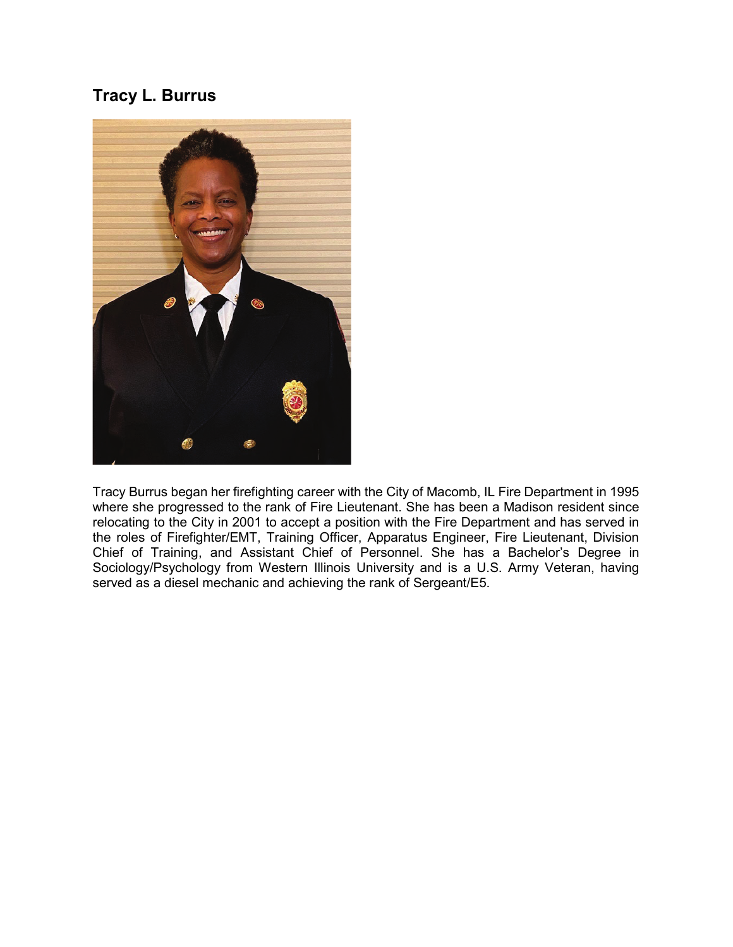# **Tracy L. Burrus**



Tracy Burrus began her firefighting career with the City of Macomb, IL Fire Department in 1995 where she progressed to the rank of Fire Lieutenant. She has been a Madison resident since relocating to the City in 2001 to accept a position with the Fire Department and has served in the roles of Firefighter/EMT, Training Officer, Apparatus Engineer, Fire Lieutenant, Division Chief of Training, and Assistant Chief of Personnel. She has a Bachelor's Degree in Sociology/Psychology from Western Illinois University and is a U.S. Army Veteran, having served as a diesel mechanic and achieving the rank of Sergeant/E5.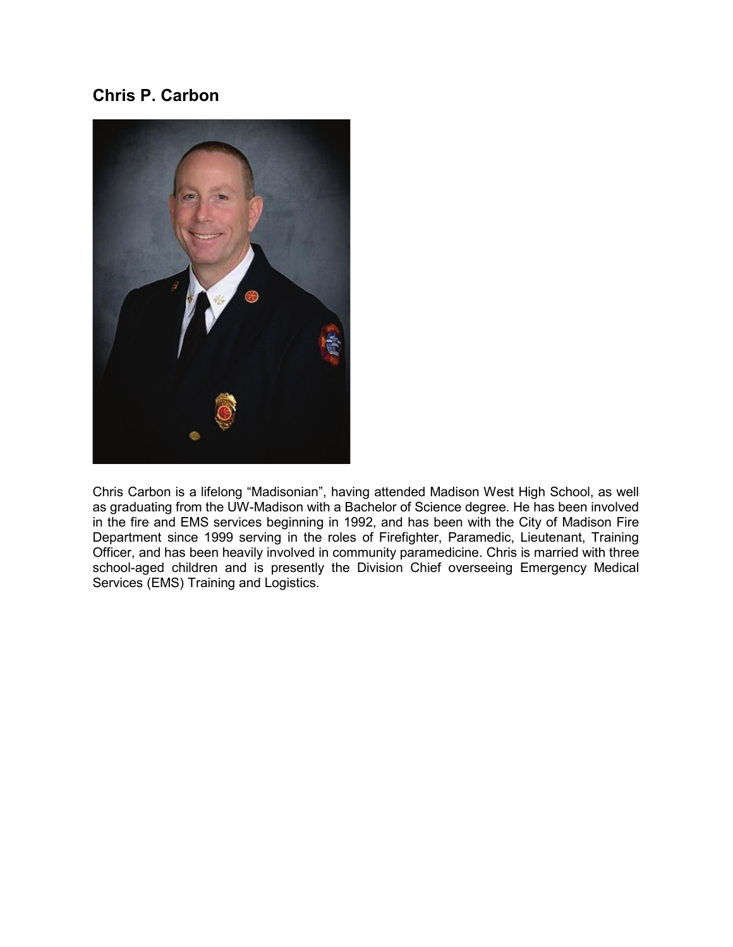### **Chris P. Carbon**



Chris Carbon is a lifelong "Madisonian", having attended Madison West High School, as well as graduating from the UW-Madison with a Bachelor of Science degree. He has been involved in the fire and EMS services beginning in 1992, and has been with the City of Madison Fire Department since 1999 serving in the roles of Firefighter, Paramedic, Lieutenant, Training Officer, and has been heavily involved in community paramedicine. Chris is married with three school-aged children and is presently the Division Chief overseeing Emergency Medical Services (EMS) Training and Logistics.